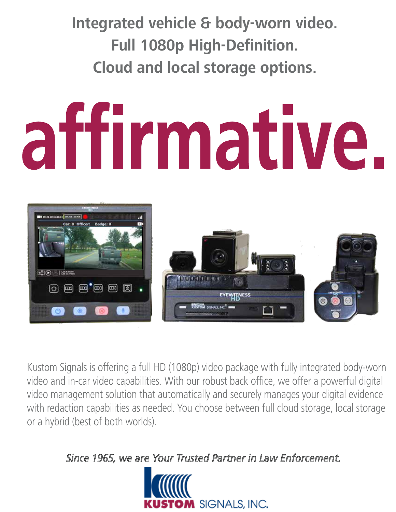**Integrated vehicle & body-worn video. Full 1080p High-Definition. Cloud and local storage options.**

# **affirmative.**



Kustom Signals is offering a full HD (1080p) video package with fully integrated body-worn video and in-car video capabilities. With our robust back office, we offer a powerful digital video management solution that automatically and securely manages your digital evidence with redaction capabilities as needed. You choose between full cloud storage, local storage or a hybrid (best of both worlds).

*Since 1965, we are Your Trusted Partner in Law Enforcement.* 

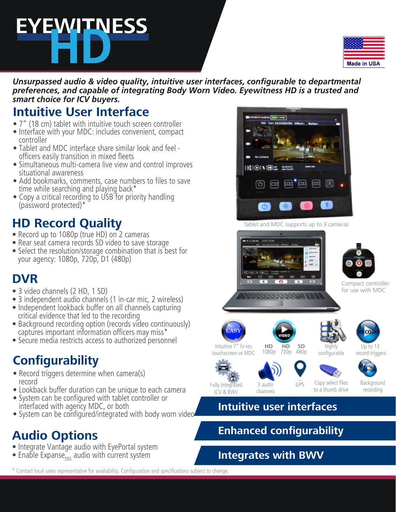# **EYEWITNESS HD**

| Made in USA |  |
|-------------|--|

*Unsurpassed audio & video quality, intuitive user interfaces, configurable to departmental preferences, and capable of integrating Body Worn Video. Eyewitness HD is a trusted and smart choice for ICV buyers.*

# **Intuitive User Interface**

- 7" (18 cm) tablet with intuitive touch screen controller
- Interface with your MDC: includes convenient, compact controller
- Tablet and MDC interface share similar look and feel officers easily transition in mixed fleets
- Simultaneous multi-camera live view and control improves situational awareness
- Add bookmarks, comments, case numbers to files to save time while searching and playing back\*
- Copy a critical recording to USB for priority handling (password protected)\*

# **HD Record Quality**

- Record up to 1080p (true HD) on 2 cameras
- Rear seat camera records SD video to save storage
- Select the resolution/storage combination that is best for your agency: 1080p, 720p, D1 (480p)

# **DVR**

- 3 video channels (2 HD, 1 SD)
- 3 independent audio channels (1 in-car mic, 2 wireless)
- Independent lookback buffer on all channels capturing critical evidence that led to the recording
- Background recording option (records video continuously) captures important information officers may miss $*$
- Secure media restricts access to authorized personnel

# **Configurability**

- Record triggers determine when camera(s) record
- Lookback buffer duration can be unique to each camera
- System can be configured with tablet controller or interfaced with agency MDC, or both
- System can be configured/integrated with body worn video

# **Audio Options**

- Integrate Vantage audio with EyePortal system
- Enable Expanse<sub>nss</sub> audio with current system



Tablet and MDC supports up to 3 cameras



#### **Intuitive user interfaces**

# **Enhanced configurability**

#### **Integrates with BWV**

\* Contact local sales representative for availability. Configuration and specifications subject to change.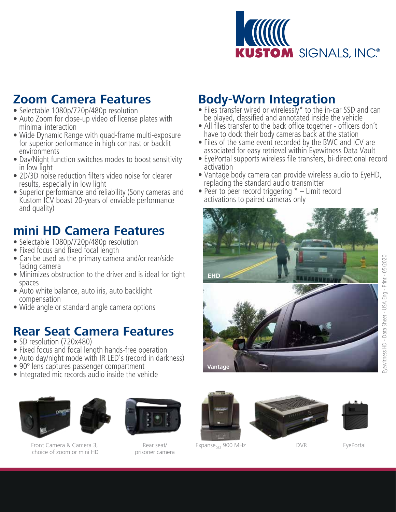

### **Zoom Camera Features**

- Selectable 1080p/720p/480p resolution
- Auto Zoom for close-up video of license plates with minimal interaction
- Wide Dynamic Range with quad-frame multi-exposure for superior performance in high contrast or backlit environments
- Day/Night function switches modes to boost sensitivity in low light
- 2D/3D noise reduction filters video noise for clearer results, especially in low light
- Superior performance and reliability (Sony cameras and Kustom ICV boast 20-years of enviable performance and quality)

# **mini HD Camera Features**

- Selectable 1080p/720p/480p resolution
- Fixed focus and fixed focal length
- Can be used as the primary camera and/or rear/side facing camera
- Minimizes obstruction to the driver and is ideal for tight spaces
- Auto white balance, auto iris, auto backlight compensation
- Wide angle or standard angle camera options

#### **Rear Seat Camera Features**

- SD resolution (720x480)
- Fixed focus and focal length hands-free operation
- Auto day/night mode with IR LED's (record in darkness)
- 90° lens captures passenger compartment
- Integrated mic records audio inside the vehicle



Front Camera & Camera 3, choice of zoom or mini HD



prisoner camera



- Files transfer wired or wirelessly\* to the in-car SSD and can be played, classified and annotated inside the vehicle
- All files transfer to the back office together officers don't have to dock their body cameras back at the station
- Files of the same event recorded by the BWC and ICV are associated for easy retrieval within Eyewitness Data Vault
- EyePortal supports wireless file transfers, bi-directional record activation
- Vantage body camera can provide wireless audio to EyeHD, replacing the standard audio transmitter
- Peer to peer record triggering  $* -$  Limit record activations to paired cameras only





DVR

Rear seat/ Expanse<sub>pss</sub> 900 MHz

EyePortal